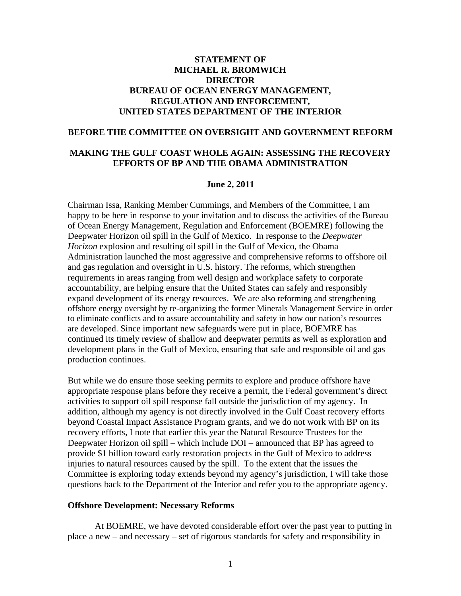# **STATEMENT OF MICHAEL R. BROMWICH DIRECTOR BUREAU OF OCEAN ENERGY MANAGEMENT, REGULATION AND ENFORCEMENT, UNITED STATES DEPARTMENT OF THE INTERIOR**

## **BEFORE THE COMMITTEE ON OVERSIGHT AND GOVERNMENT REFORM**

# **MAKING THE GULF COAST WHOLE AGAIN: ASSESSING THE RECOVERY EFFORTS OF BP AND THE OBAMA ADMINISTRATION**

#### **June 2, 2011**

Chairman Issa, Ranking Member Cummings, and Members of the Committee, I am happy to be here in response to your invitation and to discuss the activities of the Bureau of Ocean Energy Management, Regulation and Enforcement (BOEMRE) following the Deepwater Horizon oil spill in the Gulf of Mexico. In response to the *Deepwater Horizon* explosion and resulting oil spill in the Gulf of Mexico, the Obama Administration launched the most aggressive and comprehensive reforms to offshore oil and gas regulation and oversight in U.S. history. The reforms, which strengthen requirements in areas ranging from well design and workplace safety to corporate accountability, are helping ensure that the United States can safely and responsibly expand development of its energy resources. We are also reforming and strengthening offshore energy oversight by re-organizing the former Minerals Management Service in order to eliminate conflicts and to assure accountability and safety in how our nation's resources are developed. Since important new safeguards were put in place, BOEMRE has continued its timely review of shallow and deepwater permits as well as exploration and development plans in the Gulf of Mexico, ensuring that safe and responsible oil and gas production continues.

But while we do ensure those seeking permits to explore and produce offshore have appropriate response plans before they receive a permit, the Federal government's direct activities to support oil spill response fall outside the jurisdiction of my agency. In addition, although my agency is not directly involved in the Gulf Coast recovery efforts beyond Coastal Impact Assistance Program grants, and we do not work with BP on its recovery efforts, I note that earlier this year the Natural Resource Trustees for the Deepwater Horizon oil spill – which include DOI – announced that BP has agreed to provide \$1 billion toward early restoration projects in the Gulf of Mexico to address injuries to natural resources caused by the spill. To the extent that the issues the Committee is exploring today extends beyond my agency's jurisdiction, I will take those questions back to the Department of the Interior and refer you to the appropriate agency.

### **Offshore Development: Necessary Reforms**

At BOEMRE, we have devoted considerable effort over the past year to putting in place a new – and necessary – set of rigorous standards for safety and responsibility in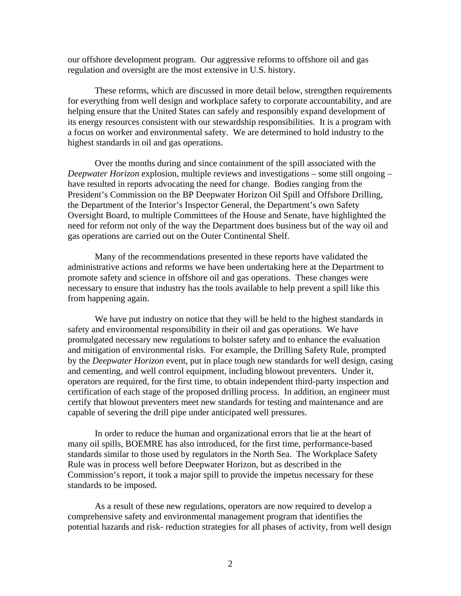our offshore development program. Our aggressive reforms to offshore oil and gas regulation and oversight are the most extensive in U.S. history.

These reforms, which are discussed in more detail below, strengthen requirements for everything from well design and workplace safety to corporate accountability, and are helping ensure that the United States can safely and responsibly expand development of its energy resources consistent with our stewardship responsibilities. It is a program with a focus on worker and environmental safety. We are determined to hold industry to the highest standards in oil and gas operations.

Over the months during and since containment of the spill associated with the *Deepwater Horizon* explosion, multiple reviews and investigations – some still ongoing – have resulted in reports advocating the need for change. Bodies ranging from the President's Commission on the BP Deepwater Horizon Oil Spill and Offshore Drilling, the Department of the Interior's Inspector General, the Department's own Safety Oversight Board, to multiple Committees of the House and Senate, have highlighted the need for reform not only of the way the Department does business but of the way oil and gas operations are carried out on the Outer Continental Shelf.

Many of the recommendations presented in these reports have validated the administrative actions and reforms we have been undertaking here at the Department to promote safety and science in offshore oil and gas operations. These changes were necessary to ensure that industry has the tools available to help prevent a spill like this from happening again.

We have put industry on notice that they will be held to the highest standards in safety and environmental responsibility in their oil and gas operations. We have promulgated necessary new regulations to bolster safety and to enhance the evaluation and mitigation of environmental risks. For example, the Drilling Safety Rule, prompted by the *Deepwater Horizon* event, put in place tough new standards for well design, casing and cementing, and well control equipment, including blowout preventers. Under it, operators are required, for the first time, to obtain independent third-party inspection and certification of each stage of the proposed drilling process. In addition, an engineer must certify that blowout preventers meet new standards for testing and maintenance and are capable of severing the drill pipe under anticipated well pressures.

In order to reduce the human and organizational errors that lie at the heart of many oil spills, BOEMRE has also introduced, for the first time, performance-based standards similar to those used by regulators in the North Sea. The Workplace Safety Rule was in process well before Deepwater Horizon, but as described in the Commission's report, it took a major spill to provide the impetus necessary for these standards to be imposed.

As a result of these new regulations, operators are now required to develop a comprehensive safety and environmental management program that identifies the potential hazards and risk- reduction strategies for all phases of activity, from well design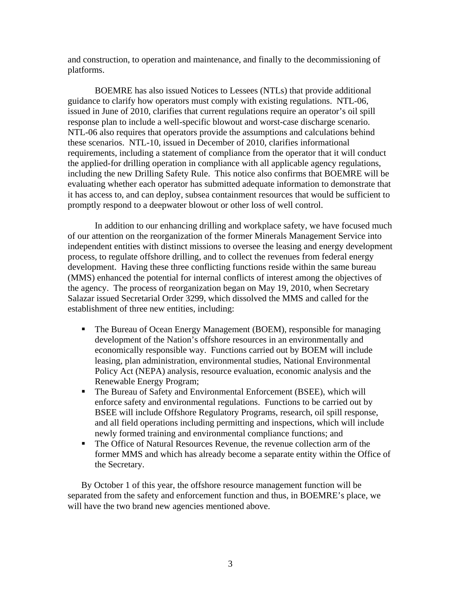and construction, to operation and maintenance, and finally to the decommissioning of platforms.

BOEMRE has also issued Notices to Lessees (NTLs) that provide additional guidance to clarify how operators must comply with existing regulations. NTL-06, issued in June of 2010, clarifies that current regulations require an operator's oil spill response plan to include a well-specific blowout and worst-case discharge scenario. NTL-06 also requires that operators provide the assumptions and calculations behind these scenarios. NTL-10, issued in December of 2010, clarifies informational requirements, including a statement of compliance from the operator that it will conduct the applied-for drilling operation in compliance with all applicable agency regulations, including the new Drilling Safety Rule. This notice also confirms that BOEMRE will be evaluating whether each operator has submitted adequate information to demonstrate that it has access to, and can deploy, subsea containment resources that would be sufficient to promptly respond to a deepwater blowout or other loss of well control.

In addition to our enhancing drilling and workplace safety, we have focused much of our attention on the reorganization of the former Minerals Management Service into independent entities with distinct missions to oversee the leasing and energy development process, to regulate offshore drilling, and to collect the revenues from federal energy development. Having these three conflicting functions reside within the same bureau (MMS) enhanced the potential for internal conflicts of interest among the objectives of the agency. The process of reorganization began on May 19, 2010, when Secretary Salazar issued Secretarial Order 3299, which dissolved the MMS and called for the establishment of three new entities, including:

- The Bureau of Ocean Energy Management (BOEM), responsible for managing development of the Nation's offshore resources in an environmentally and economically responsible way. Functions carried out by BOEM will include leasing, plan administration, environmental studies, National Environmental Policy Act (NEPA) analysis, resource evaluation, economic analysis and the Renewable Energy Program;
- The Bureau of Safety and Environmental Enforcement (BSEE), which will enforce safety and environmental regulations. Functions to be carried out by BSEE will include Offshore Regulatory Programs, research, oil spill response, and all field operations including permitting and inspections, which will include newly formed training and environmental compliance functions; and
- The Office of Natural Resources Revenue, the revenue collection arm of the former MMS and which has already become a separate entity within the Office of the Secretary.

By October 1 of this year, the offshore resource management function will be separated from the safety and enforcement function and thus, in BOEMRE's place, we will have the two brand new agencies mentioned above.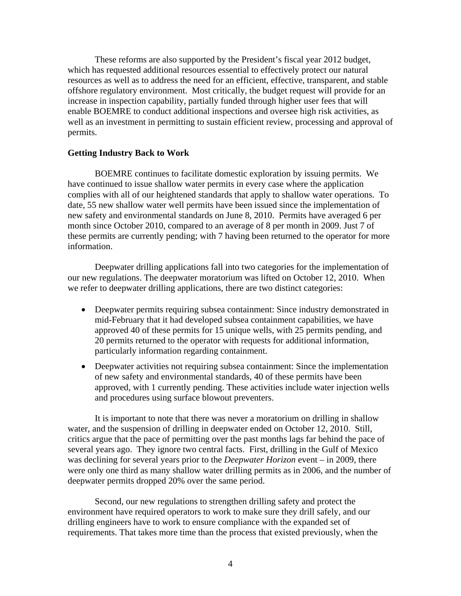These reforms are also supported by the President's fiscal year 2012 budget, which has requested additional resources essential to effectively protect our natural resources as well as to address the need for an efficient, effective, transparent, and stable offshore regulatory environment. Most critically, the budget request will provide for an increase in inspection capability, partially funded through higher user fees that will enable BOEMRE to conduct additional inspections and oversee high risk activities, as well as an investment in permitting to sustain efficient review, processing and approval of permits.

### **Getting Industry Back to Work**

BOEMRE continues to facilitate domestic exploration by issuing permits. We have continued to issue shallow water permits in every case where the application complies with all of our heightened standards that apply to shallow water operations. To date, 55 new shallow water well permits have been issued since the implementation of new safety and environmental standards on June 8, 2010. Permits have averaged 6 per month since October 2010, compared to an average of 8 per month in 2009. Just 7 of these permits are currently pending; with 7 having been returned to the operator for more information.

Deepwater drilling applications fall into two categories for the implementation of our new regulations. The deepwater moratorium was lifted on October 12, 2010. When we refer to deepwater drilling applications, there are two distinct categories:

- Deepwater permits requiring subsea containment: Since industry demonstrated in mid-February that it had developed subsea containment capabilities, we have approved 40 of these permits for 15 unique wells, with 25 permits pending, and 20 permits returned to the operator with requests for additional information, particularly information regarding containment.
- Deepwater activities not requiring subsea containment: Since the implementation of new safety and environmental standards, 40 of these permits have been approved, with 1 currently pending. These activities include water injection wells and procedures using surface blowout preventers.

It is important to note that there was never a moratorium on drilling in shallow water, and the suspension of drilling in deepwater ended on October 12, 2010. Still, critics argue that the pace of permitting over the past months lags far behind the pace of several years ago. They ignore two central facts. First, drilling in the Gulf of Mexico was declining for several years prior to the *Deepwater Horizon* event – in 2009, there were only one third as many shallow water drilling permits as in 2006, and the number of deepwater permits dropped 20% over the same period.

Second, our new regulations to strengthen drilling safety and protect the environment have required operators to work to make sure they drill safely, and our drilling engineers have to work to ensure compliance with the expanded set of requirements. That takes more time than the process that existed previously, when the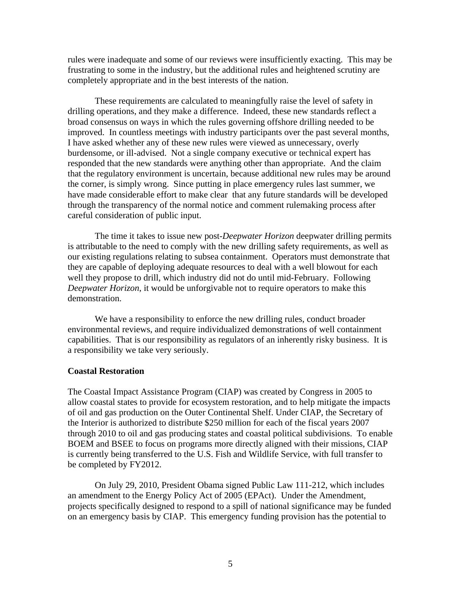rules were inadequate and some of our reviews were insufficiently exacting. This may be frustrating to some in the industry, but the additional rules and heightened scrutiny are completely appropriate and in the best interests of the nation.

These requirements are calculated to meaningfully raise the level of safety in drilling operations, and they make a difference. Indeed, these new standards reflect a broad consensus on ways in which the rules governing offshore drilling needed to be improved. In countless meetings with industry participants over the past several months, I have asked whether any of these new rules were viewed as unnecessary, overly burdensome, or ill-advised. Not a single company executive or technical expert has responded that the new standards were anything other than appropriate. And the claim that the regulatory environment is uncertain, because additional new rules may be around the corner, is simply wrong. Since putting in place emergency rules last summer, we have made considerable effort to make clear that any future standards will be developed through the transparency of the normal notice and comment rulemaking process after careful consideration of public input.

The time it takes to issue new post-*Deepwater Horizon* deepwater drilling permits is attributable to the need to comply with the new drilling safety requirements, as well as our existing regulations relating to subsea containment. Operators must demonstrate that they are capable of deploying adequate resources to deal with a well blowout for each well they propose to drill, which industry did not do until mid-February. Following *Deepwater Horizon*, it would be unforgivable not to require operators to make this demonstration.

We have a responsibility to enforce the new drilling rules, conduct broader environmental reviews, and require individualized demonstrations of well containment capabilities. That is our responsibility as regulators of an inherently risky business. It is a responsibility we take very seriously.

#### **Coastal Restoration**

The Coastal Impact Assistance Program (CIAP) was created by Congress in 2005 to allow coastal states to provide for ecosystem restoration, and to help mitigate the impacts of oil and gas production on the Outer Continental Shelf. Under CIAP, the Secretary of the Interior is authorized to distribute \$250 million for each of the fiscal years 2007 through 2010 to oil and gas producing states and coastal political subdivisions. To enable BOEM and BSEE to focus on programs more directly aligned with their missions, CIAP is currently being transferred to the U.S. Fish and Wildlife Service, with full transfer to be completed by FY2012.

On July 29, 2010, President Obama signed Public Law 111-212, which includes an amendment to the Energy Policy Act of 2005 (EPAct). Under the Amendment, projects specifically designed to respond to a spill of national significance may be funded on an emergency basis by CIAP. This emergency funding provision has the potential to